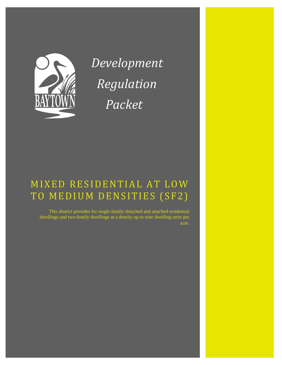

*Development Regulation Packet*

# MIXED RESIDENTIAL AT LOW TO MEDIUM DENSITIES (SF2)

This district provides for single-family detached and attached residential dwellings and two-family dwellings at a density up to nine dwelling units per acre.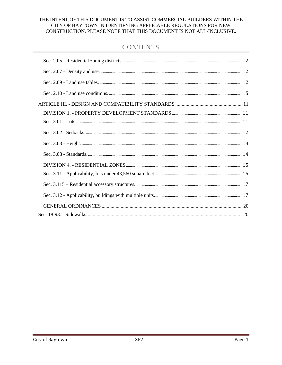### THE INTENT OF THIS DOCUMENT IS TO ASSIST COMMERCIAL BUILDERS WITHIN THE CITY OF BAYTOWN IN IDENTIFYING APPLICABLE REGULATIONS FOR NEW CONSTRUCTION. PLEASE NOTE THAT THIS DOCUMENT IS NOT ALL-INCLUSIVE.

## **CONTENTS**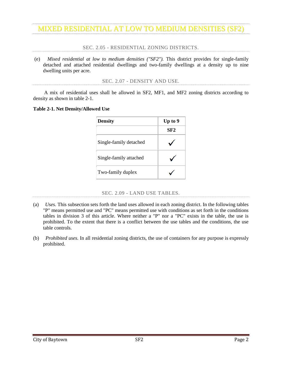SEC. 2.05 - RESIDENTIAL ZONING DISTRICTS.

<span id="page-3-0"></span>(e) *Mixed residential at low to medium densities ("SF2").* This district provides for single-family detached and attached residential dwellings and two-family dwellings at a density up to nine dwelling units per acre.

SEC. 2.07 - DENSITY AND USE.

<span id="page-3-1"></span>A mix of residential uses shall be allowed in SF2, MF1, and MF2 zoning districts according to density as shown in table 2-1.

#### **Table 2-1. Net Density/Allowed Use**

| <b>Density</b>         | Up to 9 |
|------------------------|---------|
|                        | SF2     |
| Single-family detached |         |
| Single-family attached |         |
| Two-family duplex      |         |

#### SEC. 2.09 - LAND USE TABLES.

- <span id="page-3-2"></span>(a) *Uses.* This subsection sets forth the land uses allowed in each zoning district. In the following tables "P" means permitted use and "PC" means permitted use with conditions as set forth in the conditions tables in division 3 of this article. Where neither a "P" nor a "PC" exists in the table, the use is prohibited. To the extent that there is a conflict between the use tables and the conditions, the use table controls.
- (b) *Prohibited uses.* In all residential zoning districts, the use of containers for any purpose is expressly prohibited.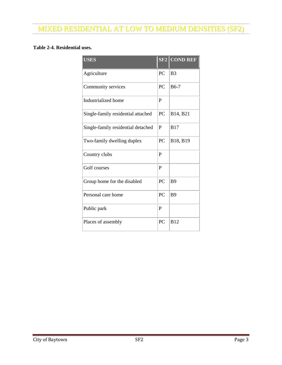## **Table 2-4. Residential uses.**

| <b>USES</b>                        |           | <b>SF2 COND REF</b> |
|------------------------------------|-----------|---------------------|
| Agriculture                        | PC        | B <sub>3</sub>      |
| Community services                 | PC        | <b>B6-7</b>         |
| Industrialized home                | P         |                     |
| Single-family residential attached | <b>PC</b> | B14, B21            |
| Single-family residential detached | P         | <b>B17</b>          |
| Two-family dwelling duplex         | PC.       | B18, B19            |
| Country clubs                      | P         |                     |
| Golf courses                       | P         |                     |
| Group home for the disabled        | PC        | <b>B</b> 9          |
| Personal care home                 | PC        | <b>B9</b>           |
| Public park                        | P         |                     |
| Places of assembly                 | <b>PC</b> | B12                 |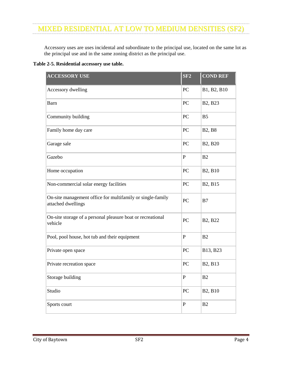Accessory uses are uses incidental and subordinate to the principal use, located on the same lot as the principal use and in the same zoning district as the principal use.

**Table 2-5. Residential accessory use table.**

| <b>ACCESSORY USE</b>                                                             | SF2         | <b>COND REF</b>                  |
|----------------------------------------------------------------------------------|-------------|----------------------------------|
| Accessory dwelling                                                               | PC          | B1, B2, B10                      |
| <b>Barn</b>                                                                      | PC          | B <sub>2</sub> , B <sub>23</sub> |
| Community building                                                               | PC          | B <sub>5</sub>                   |
| Family home day care                                                             | PC          | <b>B2, B8</b>                    |
| Garage sale                                                                      | PC          | B2, B20                          |
| Gazebo                                                                           | $\mathbf P$ | B2                               |
| Home occupation                                                                  | PC          | B2, B10                          |
| Non-commercial solar energy facilities                                           | PC          | B2, B15                          |
| On-site management office for multifamily or single-family<br>attached dwellings | PC          | B7                               |
| On-site storage of a personal pleasure boat or recreational<br>vehicle           | PC          | B2, B22                          |
| Pool, pool house, hot tub and their equipment                                    | $\mathbf P$ | B2                               |
| Private open space                                                               | PC          | B13, B23                         |
| Private recreation space                                                         | PC          | B2, B13                          |
| Storage building                                                                 | ${\bf P}$   | B2                               |
| Studio                                                                           | $\rm{PC}$   | B2, B10                          |
| Sports court                                                                     | ${\bf P}$   | B2                               |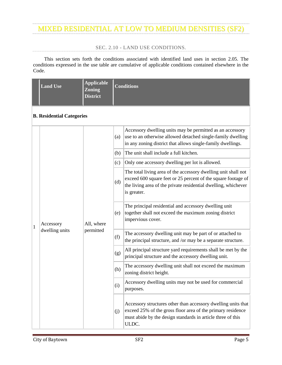### SEC. 2.10 - LAND USE CONDITIONS.

<span id="page-6-0"></span>This section sets forth the conditions associated with identified land uses in section 2.05. The conditions expressed in the use table are cumulative of applicable conditions contained elsewhere in the Code.

|  | <b>Land Use</b> | Applicable<br><b>Zoning</b><br>District | Conditions |
|--|-----------------|-----------------------------------------|------------|
|--|-----------------|-----------------------------------------|------------|

### **B. Residential Categories**

|              |                             |                         | (a)                                                                                                                                                                                                  | Accessory dwelling units may be permitted as an accessory<br>use to an otherwise allowed detached single-family dwelling<br>in any zoning district that allows single-family dwellings.                          |
|--------------|-----------------------------|-------------------------|------------------------------------------------------------------------------------------------------------------------------------------------------------------------------------------------------|------------------------------------------------------------------------------------------------------------------------------------------------------------------------------------------------------------------|
|              |                             |                         | (b)                                                                                                                                                                                                  | The unit shall include a full kitchen.                                                                                                                                                                           |
|              |                             |                         | (c)                                                                                                                                                                                                  | Only one accessory dwelling per lot is allowed.                                                                                                                                                                  |
|              | Accessory<br>dwelling units | All, where<br>permitted | (d)                                                                                                                                                                                                  | The total living area of the accessory dwelling unit shall not<br>exceed 600 square feet or 25 percent of the square footage of<br>the living area of the private residential dwelling, whichever<br>is greater. |
| $\mathbf{1}$ |                             |                         | (e)                                                                                                                                                                                                  | The principal residential and accessory dwelling unit<br>together shall not exceed the maximum zoning district<br>impervious cover.                                                                              |
|              |                             |                         | (f)                                                                                                                                                                                                  | The accessory dwelling unit may be part of or attached to<br>the principal structure, and /or may be a separate structure.                                                                                       |
|              |                             |                         | (g)                                                                                                                                                                                                  | All principal structure yard requirements shall be met by the<br>principal structure and the accessory dwelling unit.                                                                                            |
|              |                             |                         | (h)                                                                                                                                                                                                  | The accessory dwelling unit shall not exceed the maximum<br>zoning district height.                                                                                                                              |
|              |                             |                         | (i)                                                                                                                                                                                                  | Accessory dwelling units may not be used for commercial<br>purposes.                                                                                                                                             |
|              |                             | (i)                     | Accessory structures other than accessory dwelling units that<br>exceed 25% of the gross floor area of the primary residence<br>must abide by the design standards in article three of this<br>ULDC. |                                                                                                                                                                                                                  |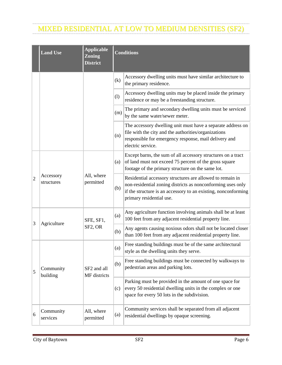|   | <b>Land Use</b>                                                      | <b>Applicable</b><br><b>Zoning</b><br><b>District</b> | <b>Conditions</b> |                                                                                                                                                                                                                        |  |
|---|----------------------------------------------------------------------|-------------------------------------------------------|-------------------|------------------------------------------------------------------------------------------------------------------------------------------------------------------------------------------------------------------------|--|
|   |                                                                      |                                                       | (k)               | Accessory dwelling units must have similar architecture to<br>the primary residence.                                                                                                                                   |  |
|   |                                                                      |                                                       | (1)               | Accessory dwelling units may be placed inside the primary<br>residence or may be a freestanding structure.                                                                                                             |  |
|   |                                                                      |                                                       | (m)               | The primary and secondary dwelling units must be serviced<br>by the same water/sewer meter.                                                                                                                            |  |
|   |                                                                      |                                                       | (n)               | The accessory dwelling unit must have a separate address on<br>file with the city and the authorities/organizations<br>responsible for emergency response, mail delivery and<br>electric service.                      |  |
|   | All, where<br>Accessory<br>$\overline{2}$<br>permitted<br>structures |                                                       | (a)               | Except barns, the sum of all accessory structures on a tract<br>of land must not exceed 75 percent of the gross square<br>footage of the primary structure on the same lot.                                            |  |
|   |                                                                      |                                                       | (b)               | Residential accessory structures are allowed to remain in<br>non-residential zoning districts as nonconforming uses only<br>if the structure is an accessory to an existing, nonconforming<br>primary residential use. |  |
| 3 | Agriculture                                                          | SFE, SF1,                                             | (a)               | Any agriculture function involving animals shall be at least<br>100 feet from any adjacent residential property line.                                                                                                  |  |
|   |                                                                      | SF2, OR                                               | (b)               | Any agents causing noxious odors shall not be located closer<br>than 100 feet from any adjacent residential property line.                                                                                             |  |
|   | Community<br>building                                                | SF2 and all<br>MF districts                           | (a)               | Free standing buildings must be of the same architectural<br>style as the dwelling units they serve.                                                                                                                   |  |
| 5 |                                                                      |                                                       | (b)               | Free standing buildings must be connected by walkways to<br>pedestrian areas and parking lots.                                                                                                                         |  |
|   |                                                                      |                                                       | (c)               | Parking must be provided in the amount of one space for<br>every 50 residential dwelling units in the complex or one<br>space for every 50 lots in the subdivision.                                                    |  |
| 6 | Community<br>services                                                | All, where<br>permitted                               | (a)               | Community services shall be separated from all adjacent<br>residential dwellings by opaque screening.                                                                                                                  |  |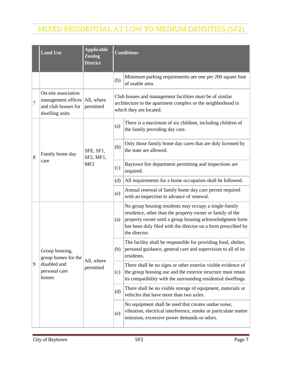|   | <b>Land Use</b>                                                                    | <b>Applicable</b><br><b>Zoning</b><br><b>District</b> | <b>Conditions</b> |                                                                                                                                                                                                                                                                  |  |
|---|------------------------------------------------------------------------------------|-------------------------------------------------------|-------------------|------------------------------------------------------------------------------------------------------------------------------------------------------------------------------------------------------------------------------------------------------------------|--|
|   |                                                                                    |                                                       | (b)               | Minimum parking requirements are one per 200 square foot<br>of usable area.                                                                                                                                                                                      |  |
| 7 | On-site association<br>management offices<br>and club houses for<br>dwelling units | All, where<br>permitted                               |                   | Club houses and management facilities must be of similar<br>architecture to the apartment complex or the neighborhood in<br>which they are located.                                                                                                              |  |
|   |                                                                                    |                                                       | (a)               | There is a maximum of six children, including children of<br>the family providing day care.                                                                                                                                                                      |  |
| 8 | Family home day<br>care<br>MF <sub>2</sub>                                         | SFE, SF1,<br>SF2, MF1,                                | (b)               | Only those family home day cares that are duly licensed by<br>the state are allowed.                                                                                                                                                                             |  |
|   |                                                                                    |                                                       | (c)               | Baytown fire department permitting and inspections are<br>required.                                                                                                                                                                                              |  |
|   |                                                                                    |                                                       | (d)               | All requirements for a home occupation shall be followed.                                                                                                                                                                                                        |  |
|   |                                                                                    |                                                       | (e)               | Annual renewal of family home day care permit required<br>with an inspection in advance of renewal.                                                                                                                                                              |  |
|   | Group housing,<br>group homes for the<br>disabled and<br>personal care<br>homes    | All, where<br>permitted                               | (a)               | No group housing residents may occupy a single-family<br>residence, other than the property owner or family of the<br>property owner until a group housing acknowledgment form<br>has been duly filed with the director on a form prescribed by<br>the director. |  |
|   |                                                                                    |                                                       | (b)               | The facility shall be responsible for providing food, shelter,<br>personal guidance, general care and supervision to all of its<br>residents.                                                                                                                    |  |
| 9 |                                                                                    |                                                       | (c)               | There shall be no signs or other exterior visible evidence of<br>the group housing use and the exterior structure must retain<br>its compatibility with the surrounding residential dwellings.                                                                   |  |
|   |                                                                                    |                                                       | (d)               | There shall be no visible storage of equipment, materials or<br>vehicles that have more than two axles.                                                                                                                                                          |  |
|   |                                                                                    |                                                       | (e)               | No equipment shall be used that creates undue noise,<br>vibration, electrical interference, smoke or particulate matter<br>emission, excessive power demands or odors.                                                                                           |  |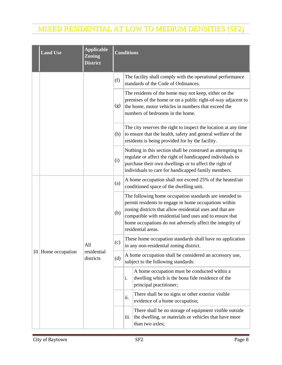|  | <b>Land Use</b>    | <b>Applicable</b><br><b>Zoning</b><br><b>District</b> | <b>Conditions</b> |                                                                                                                                                                                                                                                                                                                              |  |
|--|--------------------|-------------------------------------------------------|-------------------|------------------------------------------------------------------------------------------------------------------------------------------------------------------------------------------------------------------------------------------------------------------------------------------------------------------------------|--|
|  |                    |                                                       | (f)               | The facility shall comply with the operational performance<br>standards of the Code of Ordinances.                                                                                                                                                                                                                           |  |
|  |                    |                                                       | (g)               | The residents of the home may not keep, either on the<br>premises of the home or on a public right-of-way adjacent to<br>the home, motor vehicles in numbers that exceed the<br>numbers of bedrooms in the home.                                                                                                             |  |
|  |                    |                                                       | (h)               | The city reserves the right to inspect the location at any time<br>to ensure that the health, safety and general welfare of the<br>residents is being provided for by the facility.                                                                                                                                          |  |
|  |                    |                                                       | (i)               | Nothing in this section shall be construed as attempting to<br>regulate or affect the right of handicapped individuals to<br>purchase their own dwellings or to affect the right of<br>individuals to care for handicapped family members.                                                                                   |  |
|  |                    |                                                       | (a)               | A home occupation shall not exceed 25% of the heated/air<br>conditioned space of the dwelling unit.                                                                                                                                                                                                                          |  |
|  |                    |                                                       | (b)               | The following home occupation standards are intended to<br>permit residents to engage in home occupations within<br>zoning districts that allow residential uses and that are<br>compatible with residential land uses and to ensure that<br>home occupations do not adversely affect the integrity of<br>residential areas. |  |
|  |                    | All                                                   | (c)               | These home occupation standards shall have no application<br>in any non-residential zoning district.                                                                                                                                                                                                                         |  |
|  | 10 Home occupation | residential<br>districts                              | (d)               | A home occupation shall be considered an accessory use,<br>subject to the following standards:                                                                                                                                                                                                                               |  |
|  |                    |                                                       |                   | A home occupation must be conducted within a<br>i.<br>dwelling which is the bona fide residence of the<br>principal practitioner;                                                                                                                                                                                            |  |
|  |                    |                                                       |                   | There shall be no signs or other exterior visible<br>ii.<br>evidence of a home occupation;                                                                                                                                                                                                                                   |  |
|  |                    |                                                       |                   | There shall be no storage of equipment visible outside<br>the dwelling, or materials or vehicles that have more<br>iii.<br>than two axles;                                                                                                                                                                                   |  |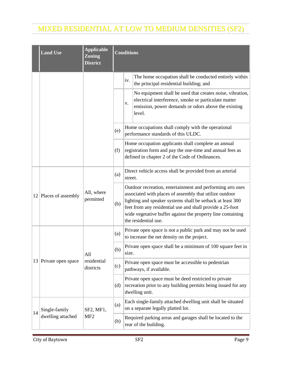|    | <b>Land Use</b>         | <b>Applicable</b><br><b>Zoning</b><br><b>District</b> | <b>Conditions</b> |         |                                                                                                                                                                                                                                                                                                                                         |  |
|----|-------------------------|-------------------------------------------------------|-------------------|---------|-----------------------------------------------------------------------------------------------------------------------------------------------------------------------------------------------------------------------------------------------------------------------------------------------------------------------------------------|--|
|    |                         |                                                       |                   | iv.     | The home occupation shall be conducted entirely within<br>the principal residential building; and                                                                                                                                                                                                                                       |  |
|    |                         |                                                       |                   | V.      | No equipment shall be used that creates noise, vibration,<br>electrical interference, smoke or particulate matter<br>emission, power demands or odors above the existing<br>level.                                                                                                                                                      |  |
|    |                         |                                                       | (e)               |         | Home occupations shall comply with the operational<br>performance standards of this ULDC.                                                                                                                                                                                                                                               |  |
|    |                         |                                                       | (f)               |         | Home occupation applicants shall complete an annual<br>registration form and pay the one-time and annual fees as<br>defined in chapter 2 of the Code of Ordinances.                                                                                                                                                                     |  |
|    |                         |                                                       | (a)               | street. | Direct vehicle access shall be provided from an arterial                                                                                                                                                                                                                                                                                |  |
|    | $12$ Places of assembly | All, where<br>permitted                               | (b)               |         | Outdoor recreation, entertainment and performing arts uses<br>associated with places of assembly that utilize outdoor<br>lighting and speaker systems shall be setback at least 300<br>feet from any residential use and shall provide a 25-foot<br>wide vegetative buffer against the property line containing<br>the residential use. |  |
|    |                         |                                                       | (a)               |         | Private open space is not a public park and may not be used<br>to increase the net density on the project.                                                                                                                                                                                                                              |  |
|    |                         | All<br>residential<br>districts                       | (b)               | size.   | Private open space shall be a minimum of 100 square feet in                                                                                                                                                                                                                                                                             |  |
|    | 13 Private open space   |                                                       | (c)               |         | Private open space must be accessible to pedestrian<br>pathways, if available.                                                                                                                                                                                                                                                          |  |
|    |                         |                                                       | (d)               |         | Private open space must be deed restricted to private<br>recreation prior to any building permits being issued for any<br>dwelling unit.                                                                                                                                                                                                |  |
| 14 | Single-family           | SF2, MF1,                                             | (a)               |         | Each single-family attached dwelling unit shall be situated<br>on a separate legally platted lot.                                                                                                                                                                                                                                       |  |
|    | dwelling attached       | MF <sub>2</sub>                                       | (b)               |         | Required parking areas and garages shall be located to the<br>rear of the building.                                                                                                                                                                                                                                                     |  |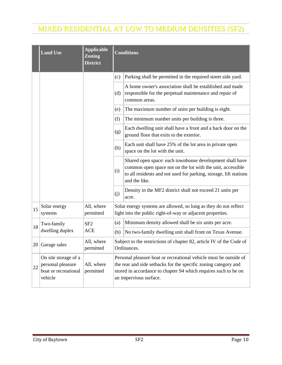|    | <b>Land Use</b>                                                              | <b>Applicable</b><br><b>Zoning</b><br><b>District</b> | <b>Conditions</b> |                                                                                                                                                                                                                                   |  |
|----|------------------------------------------------------------------------------|-------------------------------------------------------|-------------------|-----------------------------------------------------------------------------------------------------------------------------------------------------------------------------------------------------------------------------------|--|
|    |                                                                              |                                                       | (c)               | Parking shall be permitted in the required street side yard.                                                                                                                                                                      |  |
|    |                                                                              |                                                       | (d)               | A home owner's association shall be established and made<br>responsible for the perpetual maintenance and repair of<br>common areas.                                                                                              |  |
|    |                                                                              |                                                       | (e)               | The maximum number of units per building is eight.                                                                                                                                                                                |  |
|    |                                                                              |                                                       | (f)               | The minimum number units per building is three.                                                                                                                                                                                   |  |
|    |                                                                              |                                                       | (g)               | Each dwelling unit shall have a front and a back door on the<br>ground floor that exits to the exterior.                                                                                                                          |  |
|    |                                                                              |                                                       | (h)               | Each unit shall have 25% of the lot area in private open<br>space on the lot with the unit.                                                                                                                                       |  |
|    |                                                                              |                                                       | (i)               | Shared open space: each townhouse development shall have<br>common open space not on the lot with the unit, accessible<br>to all residents and not used for parking, storage, lift stations<br>and the like.                      |  |
|    |                                                                              |                                                       | (j)               | Density in the MF2 district shall not exceed 21 units per<br>acre.                                                                                                                                                                |  |
| 15 | Solar energy<br>systems                                                      | All, where<br>permitted                               |                   | Solar energy systems are allowed, so long as they do not reflect<br>light into the public right-of-way or adjacent properties.                                                                                                    |  |
| 18 | Two-family                                                                   | SF <sub>2</sub>                                       | (a)               | Minimum density allowed shall be six units per acre.                                                                                                                                                                              |  |
|    | dwelling duplex                                                              | <b>ACE</b>                                            | (b)               | No two-family dwelling unit shall front on Texas Avenue.                                                                                                                                                                          |  |
|    | $20$ Garage sales                                                            | All, where<br>permitted                               |                   | Subject to the restrictions of chapter 82, article IV of the Code of<br>Ordinances.                                                                                                                                               |  |
| 22 | On site storage of a<br>personal pleasure<br>boat or recreational<br>vehicle | All, where<br>permitted                               |                   | Personal pleasure boat or recreational vehicle must be outside of<br>the rear and side setbacks for the specific zoning category and<br>stored in accordance to chapter 94 which requires such to be on<br>an impervious surface. |  |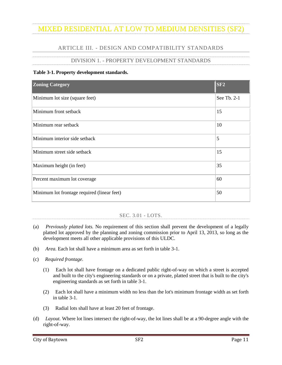## ARTICLE III. - DESIGN AND COMPATIBILITY STANDARDS

## DIVISION 1. - PROPERTY DEVELOPMENT STANDARDS

### <span id="page-12-1"></span><span id="page-12-0"></span>**Table 3-1. Property development standards.**

| <b>Zoning Category</b>                      | S <sub>F2</sub> |
|---------------------------------------------|-----------------|
| Minimum lot size (square feet)              | See Tb. 2-1     |
| Minimum front setback                       | 15              |
| Minimum rear setback                        | 10              |
| Minimum interior side setback               | 5               |
| Minimum street side setback                 | 15              |
| Maximum height (in feet)                    | 35              |
| Percent maximum lot coverage                | 60              |
| Minimum lot frontage required (linear feet) | 50              |

### SEC. 3.01 - LOTS.

- <span id="page-12-2"></span>(a) *Previously platted lots.* No requirement of this section shall prevent the development of a legally platted lot approved by the planning and zoning commission prior to April 13, 2013, so long as the development meets all other applicable provisions of this ULDC.
- (b) *Area.* Each lot shall have a minimum area as set forth in table 3-1.
- (c) *Required frontage.*
	- (1) Each lot shall have frontage on a dedicated public right-of-way on which a street is accepted and built to the city's engineering standards or on a private, platted street that is built to the city's engineering standards as set forth in table 3-1.
	- (2) Each lot shall have a minimum width no less than the lot's minimum frontage width as set forth in table 3-1.
	- (3) Radial lots shall have at least 20 feet of frontage.
- (d) *Layout.* Where lot lines intersect the right-of-way, the lot lines shall be at a 90-degree angle with the right-of-way.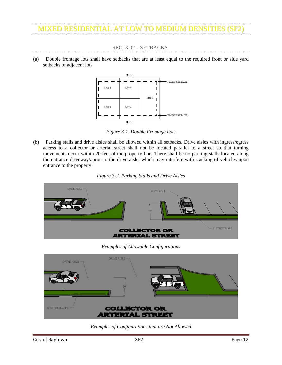SEC. 3.02 - SETBACKS.

<span id="page-13-0"></span>(a) Double frontage lots shall have setbacks that are at least equal to the required front or side yard setbacks of adjacent lots.



*Figure 3-1. Double Frontage Lots*

(b) Parking stalls and drive aisles shall be allowed within all setbacks. Drive aisles with ingress/egress access to a collector or arterial street shall not be located parallel to a street so that turning movements occur within 20 feet of the property line. There shall be no parking stalls located along the entrance driveway/apron to the drive aisle, which may interfere with stacking of vehicles upon entrance to the property.





*Examples of Allowable Configurations*



*Examples of Configurations that are Not Allowed*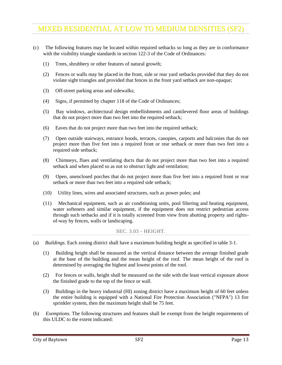- (c) The following features may be located within required setbacks so long as they are in conformance with the visibility triangle standards in section 122-3 of the Code of Ordinances:
	- (1) Trees, shrubbery or other features of natural growth;
	- (2) Fences or walls may be placed in the front, side or rear yard setbacks provided that they do not violate sight triangles and provided that fences in the front yard setback are non-opaque;
	- (3) Off-street parking areas and sidewalks;
	- (4) Signs, if permitted by chapter 118 of the Code of Ordinances;
	- (5) Bay windows, architectural design embellishments and cantilevered floor areas of buildings that do not project more than two feet into the required setback;
	- (6) Eaves that do not project more than two feet into the required setback;
	- (7) Open outside stairways, entrance hoods, terraces, canopies, carports and balconies that do not project more than five feet into a required front or rear setback or more than two feet into a required side setback;
	- (8) Chimneys, flues and ventilating ducts that do not project more than two feet into a required setback and when placed so as not to obstruct light and ventilation;
	- (9) Open, unenclosed porches that do not project more than five feet into a required front or rear setback or more than two feet into a required side setback;
	- (10) Utility lines, wires and associated structures, such as power poles; and
	- (11) Mechanical equipment, such as air conditioning units, pool filtering and heating equipment, water softeners and similar equipment, if the equipment does not restrict pedestrian access through such setbacks and if it is totally screened from view from abutting property and rightsof-way by fences, walls or landscaping.

#### SEC. 3.03 - HEIGHT.

- <span id="page-14-0"></span>(a) *Buildings.* Each zoning district shall have a maximum building height as specified in table 3-1.
	- (1) Building height shall be measured as the vertical distance between the average finished grade at the base of the building and the mean height of the roof. The mean height of the roof is determined by averaging the highest and lowest points of the roof.
	- (2) For fences or walls, height shall be measured on the side with the least vertical exposure above the finished grade to the top of the fence or wall.
	- (3) Buildings in the heavy industrial (HI) zoning district have a maximum height of 60 feet unless the entire building is equipped with a National Fire Protection Association ("NFPA") 13 fire sprinkler system, then the maximum height shall be 75 feet.
- (b) *Exemptions.* The following structures and features shall be exempt from the height requirements of this ULDC to the extent indicated: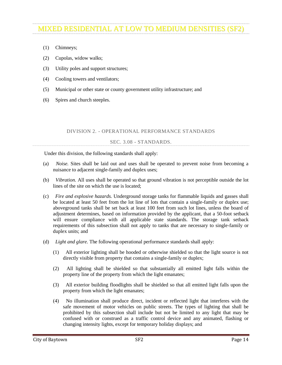- (1) Chimneys;
- (2) Cupolas, widow walks;
- (3) Utility poles and support structures;
- (4) Cooling towers and ventilators;
- (5) Municipal or other state or county government utility infrastructure; and
- (6) Spires and church steeples.

### DIVISION 2. - OPERATIONAL PERFORMANCE STANDARDS

#### SEC. 3.08 - STANDARDS.

<span id="page-15-0"></span>Under this division, the following standards shall apply:

- (a) *Noise.* Sites shall be laid out and uses shall be operated to prevent noise from becoming a nuisance to adjacent single-family and duplex uses;
- (b) *Vibration.* All uses shall be operated so that ground vibration is not perceptible outside the lot lines of the site on which the use is located;
- (c) *Fire and explosive hazards.* Underground storage tanks for flammable liquids and gasses shall be located at least 50 feet from the lot line of lots that contain a single-family or duplex use; aboveground tanks shall be set back at least 100 feet from such lot lines, unless the board of adjustment determines, based on information provided by the applicant, that a 50-foot setback will ensure compliance with all applicable state standards. The storage tank setback requirements of this subsection shall not apply to tanks that are necessary to single-family or duplex units; and
- (d) *Light and glare.* The following operational performance standards shall apply:
	- (1) All exterior lighting shall be hooded or otherwise shielded so that the light source is not directly visible from property that contains a single-family or duplex;
	- (2) All lighting shall be shielded so that substantially all emitted light falls within the property line of the property from which the light emanates;
	- (3) All exterior building floodlights shall be shielded so that all emitted light falls upon the property from which the light emanates;
	- (4) No illumination shall produce direct, incident or reflected light that interferes with the safe movement of motor vehicles on public streets. The types of lighting that shall be prohibited by this subsection shall include but not be limited to any light that may be confused with or construed as a traffic control device and any animated, flashing or changing intensity lights, except for temporary holiday displays; and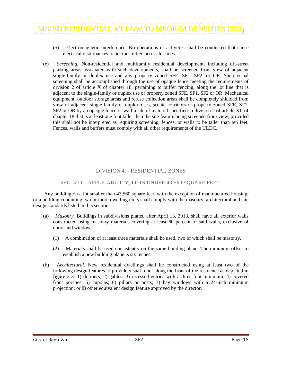- (5) Electromagnetic interference. No operations or activities shall be conducted that cause electrical disturbances to be transmitted across lot lines.
- (e) *Screening.* Non-residential and multifamily residential development, including off-street parking areas associated with such developments, shall be screened from view of adjacent single-family or duplex use and any property zoned SFE, SF1, SF2, or OR. Such visual screening shall be accomplished through the use of opaque fence meeting the requirements of division 2 of article X of chapter 18, pertaining to buffer fencing, along the lot line that is adjacent to the single-family or duplex use or property zoned SFE, SF1, SF2 or OR. Mechanical equipment, outdoor storage areas and refuse collection areas shall be completely shielded from view of adjacent single-family or duplex uses, scenic corridors or property zoned SFE, SF1, SF2 or OR by an opaque fence or wall made of material specified in division 2 of article XII of chapter 18 that is at least one foot taller than the site feature being screened from view, provided this shall not be interpreted as requiring screening, fences, or walls to be taller than ten feet. Fences, walls and buffers must comply with all other requirements of the ULDC.

## DIVISION 4. - RESIDENTIAL ZONES

#### SEC. 3.11 - APPLICABILITY, LOTS UNDER 43,560 SQUARE FEET.

<span id="page-16-1"></span><span id="page-16-0"></span>Any building on a lot smaller than 43,560 square feet, with the exception of manufactured housing, or a building containing two or more dwelling units shall comply with the masonry, architectural and site design standards listed in this section.

- (a) *Masonry.* Buildings in subdivisions platted after April 13, 2013, shall have all exterior walls constructed using masonry materials covering at least 60 percent of said walls, exclusive of doors and windows.
	- (1) A combination of at least three materials shall be used, two of which shall be masonry.
	- (2) Materials shall be used consistently on the same building plane. The minimum offset to establish a new building plane is six inches.
- (b) *Architectural.* New residential dwellings shall be constructed using at least two of the following design features to provide visual relief along the front of the residence as depicted in figure 3-3: 1) dormers; 2) gables; 3) recessed entries with a three-foot minimum; 4) covered front porches; 5) cupolas; 6) pillars or posts; 7) bay windows with a 24-inch minimum projection; or 8) other equivalent design feature approved by the director.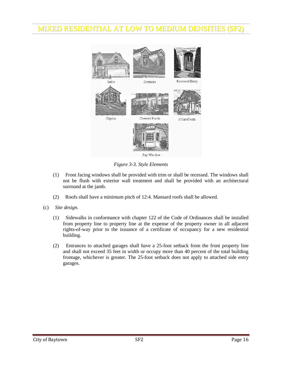

*Figure 3-3. Style Elements*

- (1) Front facing windows shall be provided with trim or shall be recessed. The windows shall not be flush with exterior wall treatment and shall be provided with an architectural surround at the jamb.
- (2) Roofs shall have a minimum pitch of 12:4. Mansard roofs shall be allowed.
- (c) *Site design.*
	- (1) Sidewalks in conformance with chapter 122 of the Code of Ordinances shall be installed from property line to property line at the expense of the property owner in all adjacent rights-of-way prior to the issuance of a certificate of occupancy for a new residential building.
	- (2) Entrances to attached garages shall have a 25-foot setback from the front property line and shall not exceed 35 feet in width or occupy more than 40 percent of the total building frontage, whichever is greater. The 25-foot setback does not apply to attached side entry garages.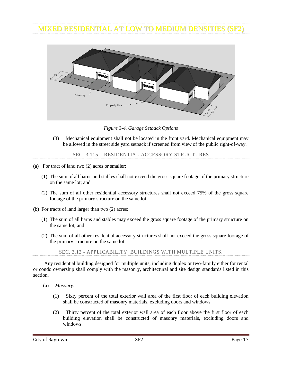

*Figure 3-4. Garage Setback Options*

(3) Mechanical equipment shall not be located in the front yard. Mechanical equipment may be allowed in the street side yard setback if screened from view of the public right-of-way.

SEC. 3.115 – RESIDENTIAL ACCESSORY STRUCTURES

- <span id="page-18-0"></span>(a) For tract of land two (2) acres or smaller:
	- (1) The sum of all barns and stables shall not exceed the gross square footage of the primary structure on the same lot; and
	- (2) The sum of all other residential accessory structures shall not exceed 75% of the gross square footage of the primary structure on the same lot.
- (b) For tracts of land larger than two (2) acres:
	- (1) The sum of all barns and stables may exceed the gross square footage of the primary structure on the same lot; and
	- (2) The sum of all other residential accessory structures shall not exceed the gross square footage of the primary structure on the same lot.

SEC. 3.12 - APPLICABILITY, BUILDINGS WITH MULTIPLE UNITS.

<span id="page-18-1"></span>Any residential building designed for multiple units, including duplex or two-family either for rental or condo ownership shall comply with the masonry, architectural and site design standards listed in this section.

- (a) *Masonry.*
	- (1) Sixty percent of the total exterior wall area of the first floor of each building elevation shall be constructed of masonry materials, excluding doors and windows.
	- (2) Thirty percent of the total exterior wall area of each floor above the first floor of each building elevation shall be constructed of masonry materials, excluding doors and windows.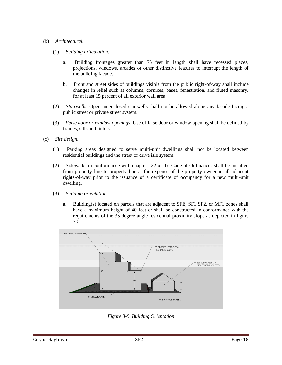### (b) *Architectural.*

- (1) *Building articulation.*
	- a. Building frontages greater than 75 feet in length shall have recessed places, projections, windows, arcades or other distinctive features to interrupt the length of the building facade.
	- b. Front and street sides of buildings visible from the public right-of-way shall include changes in relief such as columns, cornices, bases, fenestration, and fluted masonry, for at least 15 percent of all exterior wall area.
- (2) *Stairwells.* Open, unenclosed stairwells shall not be allowed along any facade facing a public street or private street system.
- (3) *False door or window openings.* Use of false door or window opening shall be defined by frames, sills and lintels.
- (c) *Site design.*
	- (1) Parking areas designed to serve multi-unit dwellings shall not be located between residential buildings and the street or drive isle system.
	- (2) Sidewalks in conformance with chapter 122 of the Code of Ordinances shall be installed from property line to property line at the expense of the property owner in all adjacent rights-of-way prior to the issuance of a certificate of occupancy for a new multi-unit dwelling.
	- (3) *Building orientation:*
		- a. Building(s) located on parcels that are adjacent to SFE, SF1 SF2, or MF1 zones shall have a maximum height of 40 feet or shall be constructed in conformance with the requirements of the 35-degree angle residential proximity slope as depicted in figure 3-5.



*Figure 3-5. Building Orientation*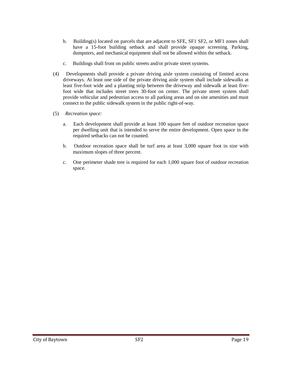- b. Building(s) located on parcels that are adjacent to SFE, SF1 SF2, or MF1 zones shall have a 15-foot building setback and shall provide opaque screening. Parking, dumpsters, and mechanical equipment shall not be allowed within the setback.
- c. Buildings shall front on public streets and/or private street systems.
- (4) Developments shall provide a private driving aisle system consisting of limited access driveways. At least one side of the private driving aisle system shall include sidewalks at least five-foot wide and a planting strip between the driveway and sidewalk at least fivefoot wide that includes street trees 30-foot on center. The private street system shall provide vehicular and pedestrian access to all parking areas and on site amenities and must connect to the public sidewalk system in the public right-of-way.
- (5) *Recreation space:*
	- a. Each development shall provide at least 100 square feet of outdoor recreation space per dwelling unit that is intended to serve the entire development. Open space in the required setbacks can not be counted.
	- b. Outdoor recreation space shall be turf area at least 3,000 square foot in size with maximum slopes of three percent.
	- c. One perimeter shade tree is required for each 1,000 square foot of outdoor recreation space.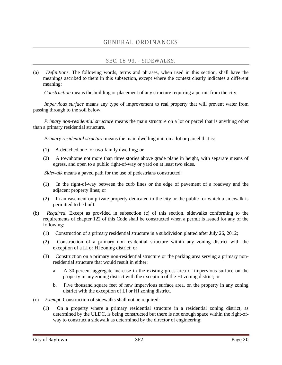## SEC. 18-93. - SIDEWALKS.

<span id="page-21-1"></span><span id="page-21-0"></span>(a) *Definitions.* The following words, terms and phrases, when used in this section, shall have the meanings ascribed to them in this subsection, except where the context clearly indicates a different meaning:

*Construction* means the building or placement of any structure requiring a permit from the city.

*Impervious surface* means any type of improvement to real property that will prevent water from passing through to the soil below.

*Primary non-residential structure* means the main structure on a lot or parcel that is anything other than a primary residential structure.

*Primary residential structure* means the main dwelling unit on a lot or parcel that is:

- (1) A detached one- or two-family dwelling; or
- (2) A townhome not more than three stories above grade plane in height, with separate means of egress, and open to a public right-of-way or yard on at least two sides.

*Sidewalk* means a paved path for the use of pedestrians constructed:

- (1) In the right-of-way between the curb lines or the edge of pavement of a roadway and the adjacent property lines; or
- (2) In an easement on private property dedicated to the city or the public for which a sidewalk is permitted to be built.
- (b) *Required.* Except as provided in subsection (c) of this section, sidewalks conforming to the requirements of chapter 122 of this Code shall be constructed when a permit is issued for any of the following:
	- (1) Construction of a primary residential structure in a subdivision platted after July 26, 2012;
	- (2) Construction of a primary non-residential structure within any zoning district with the exception of a LI or HI zoning district; or
	- (3) Construction on a primary non-residential structure or the parking area serving a primary nonresidential structure that would result in either:
		- a. A 30-percent aggregate increase in the existing gross area of impervious surface on the property in any zoning district with the exception of the HI zoning district; or
		- b. Five thousand square feet of new impervious surface area, on the property in any zoning district with the exception of LI or HI zoning district.
- (c) *Exempt.* Construction of sidewalks shall not be required:
	- (1) On a property where a primary residential structure in a residential zoning district, as determined by the ULDC, is being constructed but there is not enough space within the right-ofway to construct a sidewalk as determined by the director of engineering;